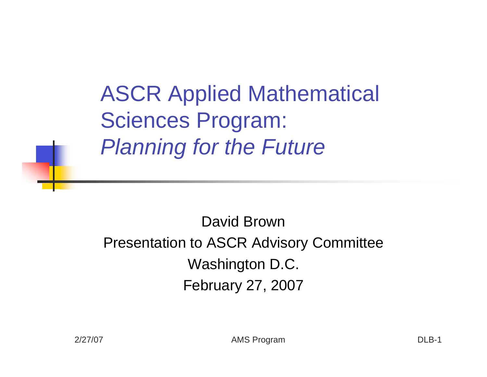ASCR Applied Mathematical Sciences Program: *Planning for the Future*

David Brown Presentation to ASCR Advisory Committee Washington D.C. February 27, 2007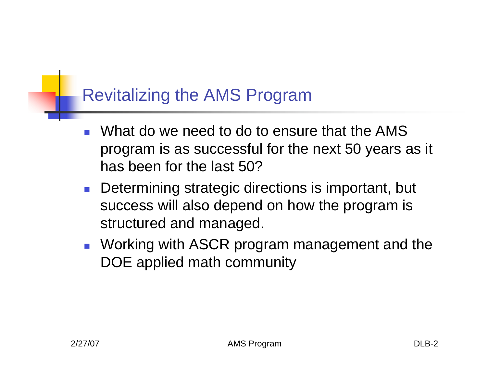#### Revitalizing the AMS Program

- ! What do we need to do to ensure that the AMS program is as successful for the next 50 years as it has been for the last 50?
- **.** Determining strategic directions is important, but success will also depend on how the program is structured and managed.
- **.** Working with ASCR program management and the DOE applied math community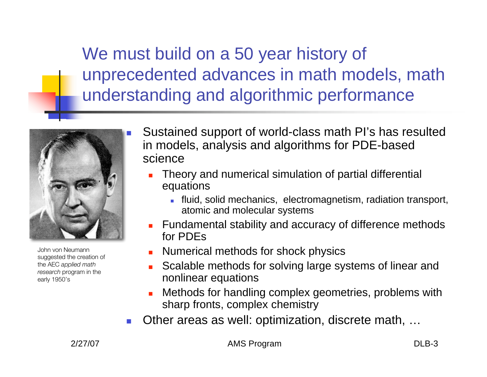We must build on a 50 year history of unprecedented advances in math models, math understanding and algorithmic performance



John von Neumann suggested the creation of the AEC *applied math research* program in the early 1950's

- Sustained support of world-class math PI's has resulted in models, analysis and algorithms for PDE-based science
	- ! Theory and numerical simulation of partial differential equations
		- ! fluid, solid mechanics, electromagnetism, radiation transport, atomic and molecular systems
	- **EXECUTE:** Fundamental stability and accuracy of difference methods for PDEs
	- ! Numerical methods for shock physics
	- ! Scalable methods for solving large systems of linear and nonlinear equations
	- ! Methods for handling complex geometries, problems with sharp fronts, complex chemistry
- Other areas as well: optimization, discrete math, ...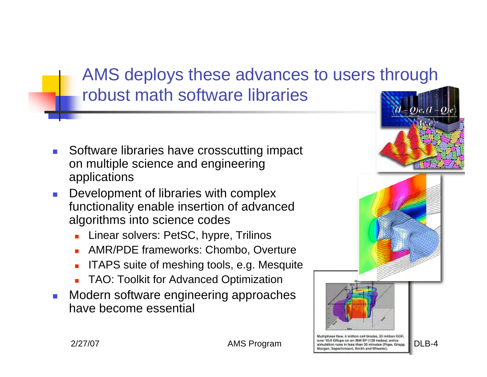## AMS deploys these advances to users through robust math software libraries

- ! Software libraries have crosscutting impact on multiple science and engineering applications
- Development of libraries with complex functionality enable insertion of advanced algorithms into science codes
	- **Linear solvers: PetSC, hypre, Trilinos**
	- **. AMR/PDE frameworks: Chombo, Overture**
	- ! ITAPS suite of meshing tools, e.g. Mesquite
	- ! TAO: Toolkit for Advanced Optimization
- ! Modern software engineering approaches have become essential

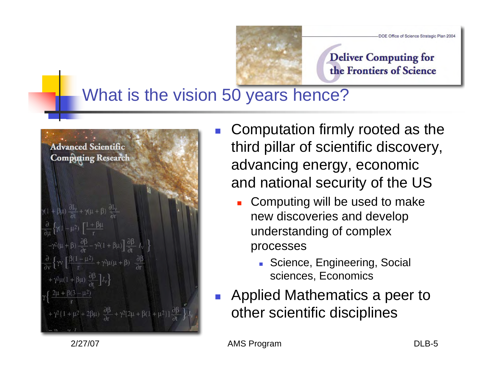

#### **Deliver Computing for** the Frontiers of Science

#### What is the vision 50 years hence?



- ! Computation firmly rooted as the third pillar of scientific discovery, advancing energy, economic and national security of the US
	- Computing will be used to make new discoveries and develop understanding of complex processes
		- **E.** Science, Engineering, Social sciences, Economics
- ! Applied Mathematics a peer to other scientific disciplines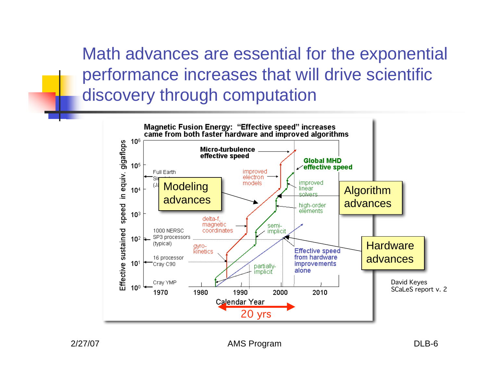Math advances are essential for the exponential performance increases that will drive scientific discovery through computation

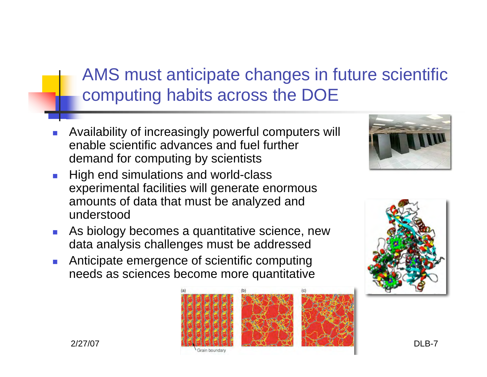## AMS must anticipate changes in future scientific computing habits across the DOE

- ! Availability of increasingly powerful computers will enable scientific advances and fuel further demand for computing by scientists
- **I** High end simulations and world-class experimental facilities will generate enormous amounts of data that must be analyzed and understood
- As biology becomes a quantitative science, new data analysis challenges must be addressed
- ! Anticipate emergence of scientific computing needs as sciences become more quantitative





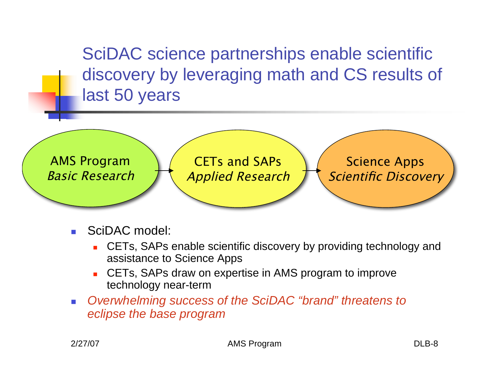SciDAC science partnerships enable scientific discovery by leveraging math and CS results of last 50 years



- SciDAC model:
	- ! CETs, SAPs enable scientific discovery by providing technology and assistance to Science Apps
	- ! CETs, SAPs draw on expertise in AMS program to improve technology near-term
- ! *Overwhelming success of the SciDAC "brand" threatens to eclipse the base program*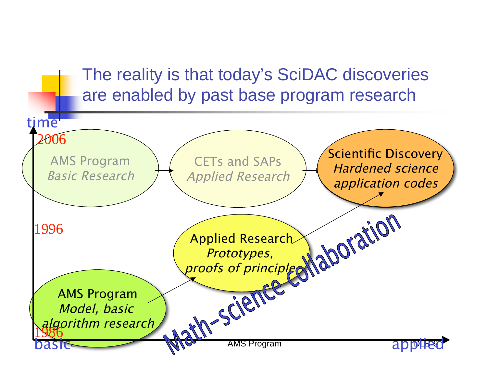#### The reality is that today's SciDAC discoveries are enabled by past base program research

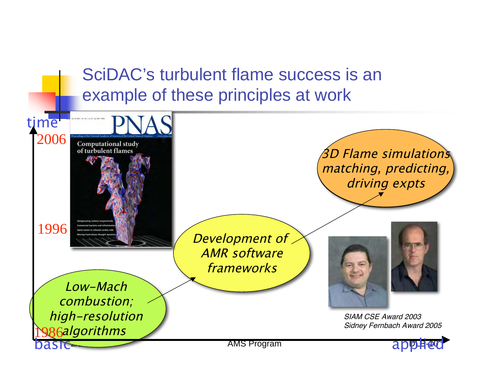SciDAC's turbulent flame success is an example of these principles at work

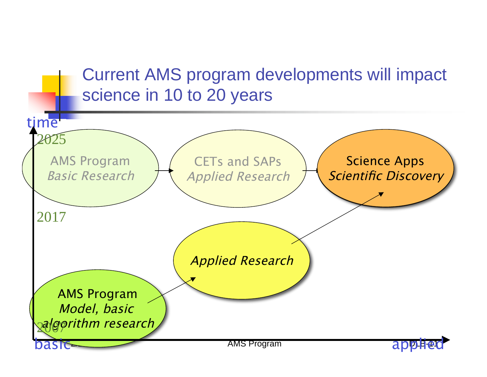## Current AMS program developments will impact science in 10 to 20 years

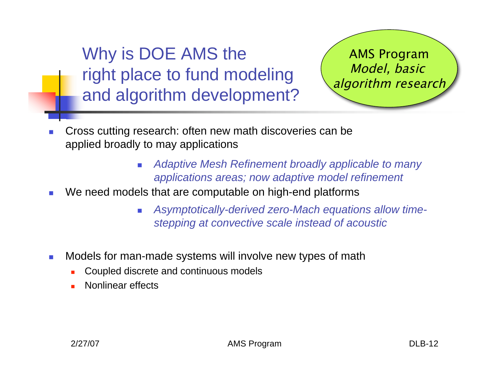Why is DOE AMS the right place to fund modeling and algorithm development?

AMS Program Model, basic algorithm research

- ! Cross cutting research: often new math discoveries can be applied broadly to may applications
	- ! *Adaptive Mesh Refinement broadly applicable to many applications areas; now adaptive model refinement*
- **We need models that are computable on high-end platforms** 
	- ! *Asymptotically-derived zero-Mach equations allow timestepping at convective scale instead of acoustic*
- **I** Models for man-made systems will involve new types of math
	- ! Coupled discrete and continuous models
	- Nonlinear effects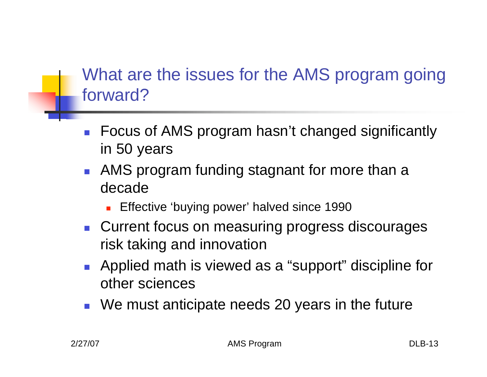## What are the issues for the AMS program going forward?

- **EXECUS of AMS program hasn't changed significantly** in 50 years
- **AMS program funding stagnant for more than a** decade
	- **Effective 'buying power' halved since 1990**
- **E** Current focus on measuring progress discourages risk taking and innovation
- **Applied math is viewed as a "support" discipline for** other sciences
- **We must anticipate needs 20 years in the future**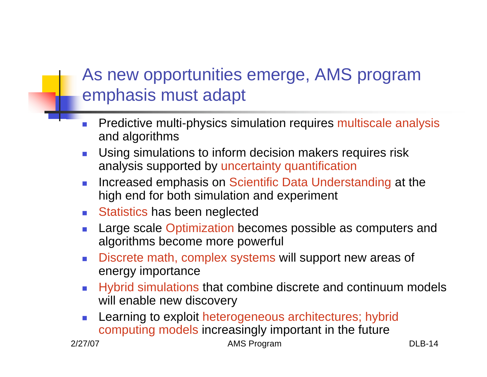# As new opportunities emerge, AMS program emphasis must adapt

- Predictive multi-physics simulation requires multiscale analysis and algorithms
- Using simulations to inform decision makers requires risk analysis supported by uncertainty quantification
- **Increased emphasis on Scientific Data Understanding at the** high end for both simulation and experiment
- **E** Statistics has been neglected
- Large scale Optimization becomes possible as computers and algorithms become more powerful
- Discrete math, complex systems will support new areas of energy importance
- ! Hybrid simulations that combine discrete and continuum models will enable new discovery
- Learning to exploit heterogeneous architectures; hybrid computing models increasingly important in the future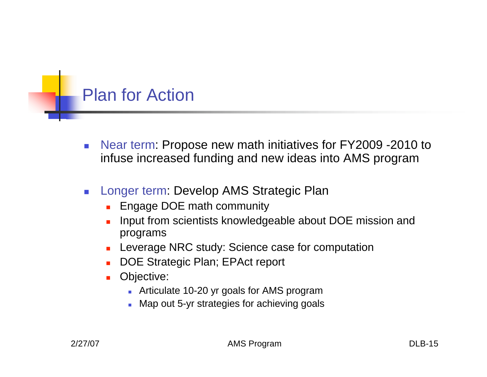#### Plan for Action

- **EXECT:** Near term: Propose new math initiatives for FY2009 -2010 to infuse increased funding and new ideas into AMS program
- Longer term: Develop AMS Strategic Plan
	- ! Engage DOE math community
	- Input from scientists knowledgeable about DOE mission and programs
	- **Leverage NRC study: Science case for computation**
	- ! DOE Strategic Plan; EPAct report
	- **D** Objective:
		- **EXECUTE:** Articulate 10-20 yr goals for AMS program
		- **I** Map out 5-yr strategies for achieving goals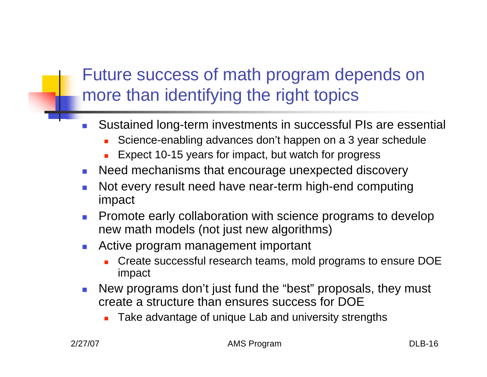# Future success of math program depends on more than identifying the right topics

- ! Sustained long-term investments in successful PIs are essential
	- Science-enabling advances don't happen on a 3 year schedule
	- Expect 10-15 years for impact, but watch for progress
- **E** Need mechanisms that encourage unexpected discovery
- Not every result need have near-term high-end computing impact
- **Promote early collaboration with science programs to develop** new math models (not just new algorithms)
- Active program management important
	- ! Create successful research teams, mold programs to ensure DOE impact
- **E** New programs don't just fund the "best" proposals, they must create a structure than ensures success for DOE
	- Take advantage of unique Lab and university strengths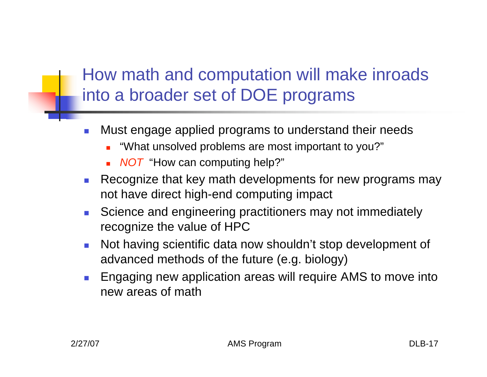# How math and computation will make inroads into a broader set of DOE programs

- Must engage applied programs to understand their needs
	- ! "What unsolved problems are most important to you?"
	- **NOT** "How can computing help?"
- Recognize that key math developments for new programs may not have direct high-end computing impact
- **EXECTE:** Science and engineering practitioners may not immediately recognize the value of HPC
- Not having scientific data now shouldn't stop development of advanced methods of the future (e.g. biology)
- ! Engaging new application areas will require AMS to move into new areas of math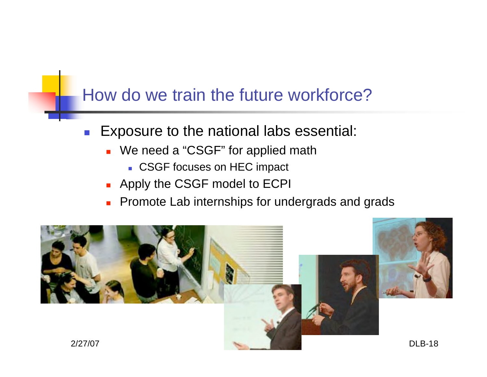#### How do we train the future workforce?

- **Exposure to the national labs essential:** 
	- **.** We need a "CSGF" for applied math
		- **. CSGF focuses on HEC impact**
	- **.** Apply the CSGF model to ECPI
	- **Promote Lab internships for undergrads and grads**

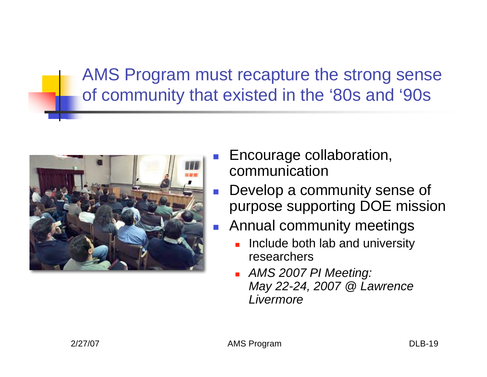AMS Program must recapture the strong sense of community that existed in the '80s and '90s



- Encourage collaboration, communication
- Develop a community sense of purpose supporting DOE mission
- ! Annual community meetings
	- Include both lab and university researchers
	- ! *AMS 2007 PI Meeting: May 22-24, 2007 @ Lawrence Livermore*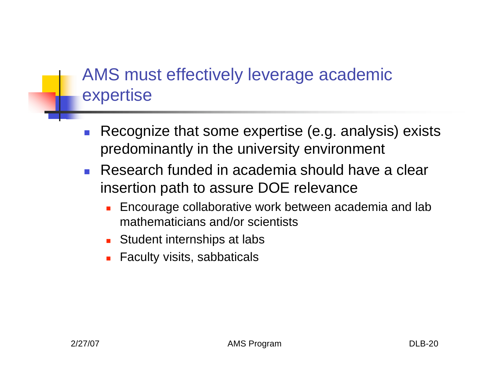## AMS must effectively leverage academic expertise

- Recognize that some expertise (e.g. analysis) exists predominantly in the university environment
- **Research funded in academia should have a clear** insertion path to assure DOE relevance
	- **Encourage collaborative work between academia and lab** mathematicians and/or scientists
	- **EXECUTE:** Student internships at labse
	- **Eaculty visits, sabbaticals**